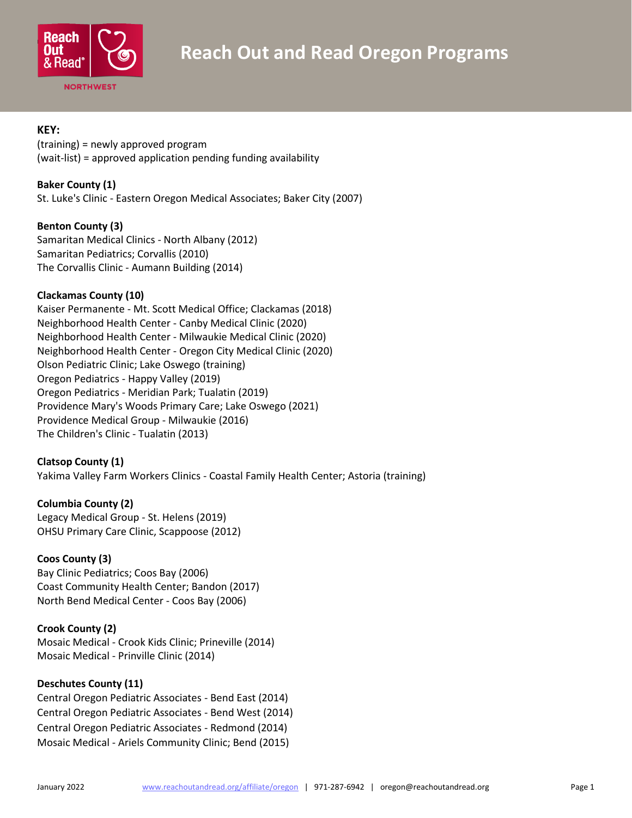

## **KEY:**

(training) = newly approved program (wait-list) = approved application pending funding availability

**Baker County (1)**

St. Luke's Clinic - Eastern Oregon Medical Associates; Baker City (2007)

### **Benton County (3)**

Samaritan Medical Clinics - North Albany (2012) Samaritan Pediatrics; Corvallis (2010) The Corvallis Clinic - Aumann Building (2014)

# **Clackamas County (10)**

Kaiser Permanente - Mt. Scott Medical Office; Clackamas (2018) Neighborhood Health Center - Canby Medical Clinic (2020) Neighborhood Health Center - Milwaukie Medical Clinic (2020) Neighborhood Health Center - Oregon City Medical Clinic (2020) Olson Pediatric Clinic; Lake Oswego (training) Oregon Pediatrics - Happy Valley (2019) Oregon Pediatrics - Meridian Park; Tualatin (2019) Providence Mary's Woods Primary Care; Lake Oswego (2021) Providence Medical Group - Milwaukie (2016) The Children's Clinic - Tualatin (2013)

# **Clatsop County (1)**

Yakima Valley Farm Workers Clinics - Coastal Family Health Center; Astoria (training)

# **Columbia County (2)**

Legacy Medical Group - St. Helens (2019) OHSU Primary Care Clinic, Scappoose (2012)

# **Coos County (3)**

Bay Clinic Pediatrics; Coos Bay (2006) Coast Community Health Center; Bandon (2017) North Bend Medical Center - Coos Bay (2006)

# **Crook County (2)**

Mosaic Medical - Crook Kids Clinic; Prineville (2014) Mosaic Medical - Prinville Clinic (2014)

# **Deschutes County (11)**

Central Oregon Pediatric Associates - Bend East (2014) Central Oregon Pediatric Associates - Bend West (2014) Central Oregon Pediatric Associates - Redmond (2014) Mosaic Medical - Ariels Community Clinic; Bend (2015)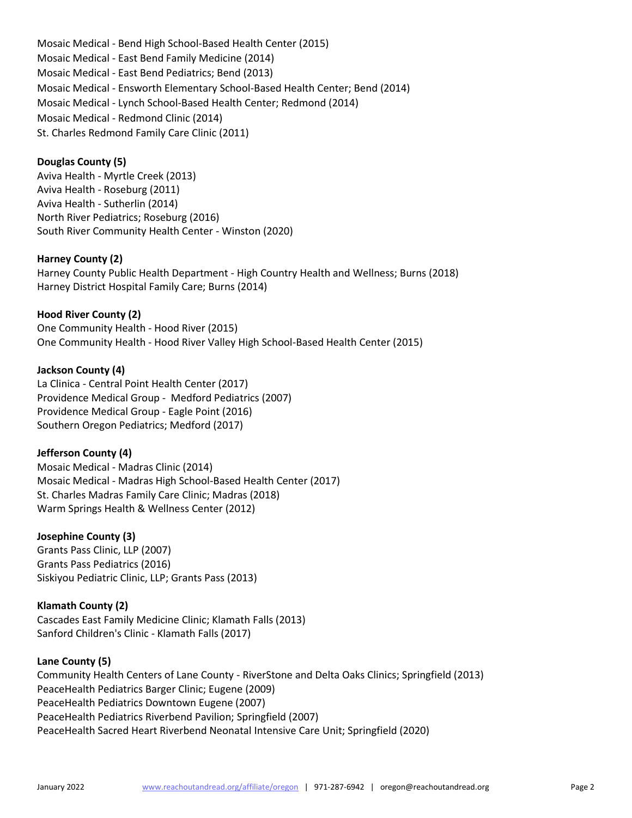Mosaic Medical - Bend High School-Based Health Center (2015) Mosaic Medical - East Bend Family Medicine (2014) Mosaic Medical - East Bend Pediatrics; Bend (2013) Mosaic Medical - Ensworth Elementary School-Based Health Center; Bend (2014) Mosaic Medical - Lynch School-Based Health Center; Redmond (2014) Mosaic Medical - Redmond Clinic (2014) St. Charles Redmond Family Care Clinic (2011)

## **Douglas County (5)**

Aviva Health - Myrtle Creek (2013) Aviva Health - Roseburg (2011) Aviva Health - Sutherlin (2014) North River Pediatrics; Roseburg (2016) South River Community Health Center - Winston (2020)

#### **Harney County (2)**

Harney County Public Health Department - High Country Health and Wellness; Burns (2018) Harney District Hospital Family Care; Burns (2014)

# **Hood River County (2)**

One Community Health - Hood River (2015) One Community Health - Hood River Valley High School-Based Health Center (2015)

### **Jackson County (4)**

La Clinica - Central Point Health Center (2017) Providence Medical Group - Medford Pediatrics (2007) Providence Medical Group - Eagle Point (2016) Southern Oregon Pediatrics; Medford (2017)

### **Jefferson County (4)**

Mosaic Medical - Madras Clinic (2014) Mosaic Medical - Madras High School-Based Health Center (2017) St. Charles Madras Family Care Clinic; Madras (2018) Warm Springs Health & Wellness Center (2012)

### **Josephine County (3)**

Grants Pass Clinic, LLP (2007) Grants Pass Pediatrics (2016) Siskiyou Pediatric Clinic, LLP; Grants Pass (2013)

### **Klamath County (2)**

Cascades East Family Medicine Clinic; Klamath Falls (2013) Sanford Children's Clinic - Klamath Falls (2017)

### **Lane County (5)**

Community Health Centers of Lane County - RiverStone and Delta Oaks Clinics; Springfield (2013) PeaceHealth Pediatrics Barger Clinic; Eugene (2009) PeaceHealth Pediatrics Downtown Eugene (2007) PeaceHealth Pediatrics Riverbend Pavilion; Springfield (2007) PeaceHealth Sacred Heart Riverbend Neonatal Intensive Care Unit; Springfield (2020)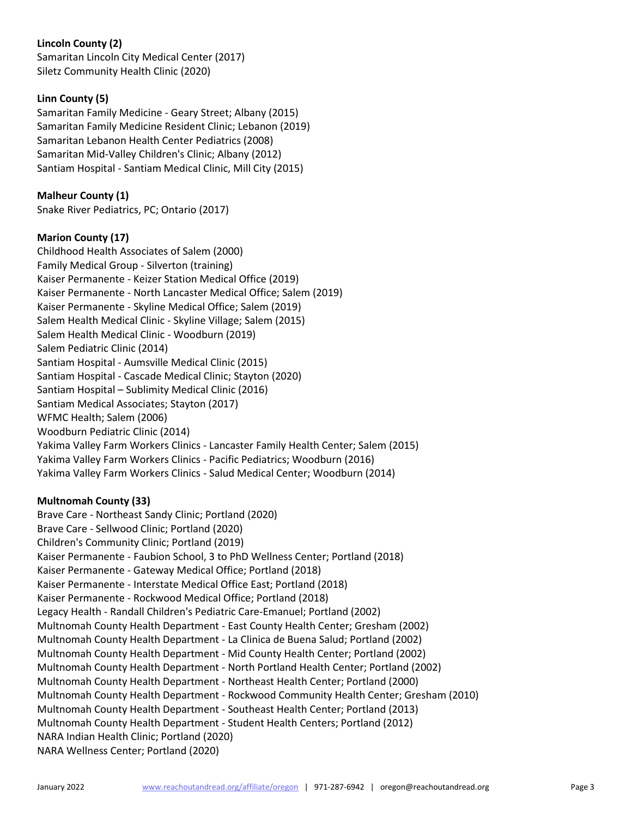# **Lincoln County (2)**

Samaritan Lincoln City Medical Center (2017) Siletz Community Health Clinic (2020)

# **Linn County (5)**

Samaritan Family Medicine - Geary Street; Albany (2015) Samaritan Family Medicine Resident Clinic; Lebanon (2019) Samaritan Lebanon Health Center Pediatrics (2008) Samaritan Mid-Valley Children's Clinic; Albany (2012) Santiam Hospital - Santiam Medical Clinic, Mill City (2015)

## **Malheur County (1)**

Snake River Pediatrics, PC; Ontario (2017)

### **Marion County (17)**

Childhood Health Associates of Salem (2000) Family Medical Group - Silverton (training) Kaiser Permanente - Keizer Station Medical Office (2019) Kaiser Permanente - North Lancaster Medical Office; Salem (2019) Kaiser Permanente - Skyline Medical Office; Salem (2019) Salem Health Medical Clinic - Skyline Village; Salem (2015) Salem Health Medical Clinic - Woodburn (2019) Salem Pediatric Clinic (2014) Santiam Hospital - Aumsville Medical Clinic (2015) Santiam Hospital - Cascade Medical Clinic; Stayton (2020) Santiam Hospital – Sublimity Medical Clinic (2016) Santiam Medical Associates; Stayton (2017) WFMC Health; Salem (2006) Woodburn Pediatric Clinic (2014) Yakima Valley Farm Workers Clinics - Lancaster Family Health Center; Salem (2015) Yakima Valley Farm Workers Clinics - Pacific Pediatrics; Woodburn (2016) Yakima Valley Farm Workers Clinics - Salud Medical Center; Woodburn (2014)

# **Multnomah County (33)**

Brave Care - Northeast Sandy Clinic; Portland (2020) Brave Care - Sellwood Clinic; Portland (2020) Children's Community Clinic; Portland (2019) Kaiser Permanente - Faubion School, 3 to PhD Wellness Center; Portland (2018) Kaiser Permanente - Gateway Medical Office; Portland (2018) Kaiser Permanente - Interstate Medical Office East; Portland (2018) Kaiser Permanente - Rockwood Medical Office; Portland (2018) Legacy Health - Randall Children's Pediatric Care-Emanuel; Portland (2002) Multnomah County Health Department - East County Health Center; Gresham (2002) Multnomah County Health Department - La Clinica de Buena Salud; Portland (2002) Multnomah County Health Department - Mid County Health Center; Portland (2002) Multnomah County Health Department - North Portland Health Center; Portland (2002) Multnomah County Health Department - Northeast Health Center; Portland (2000) Multnomah County Health Department - Rockwood Community Health Center; Gresham (2010) Multnomah County Health Department - Southeast Health Center; Portland (2013) Multnomah County Health Department - Student Health Centers; Portland (2012) NARA Indian Health Clinic; Portland (2020) NARA Wellness Center; Portland (2020)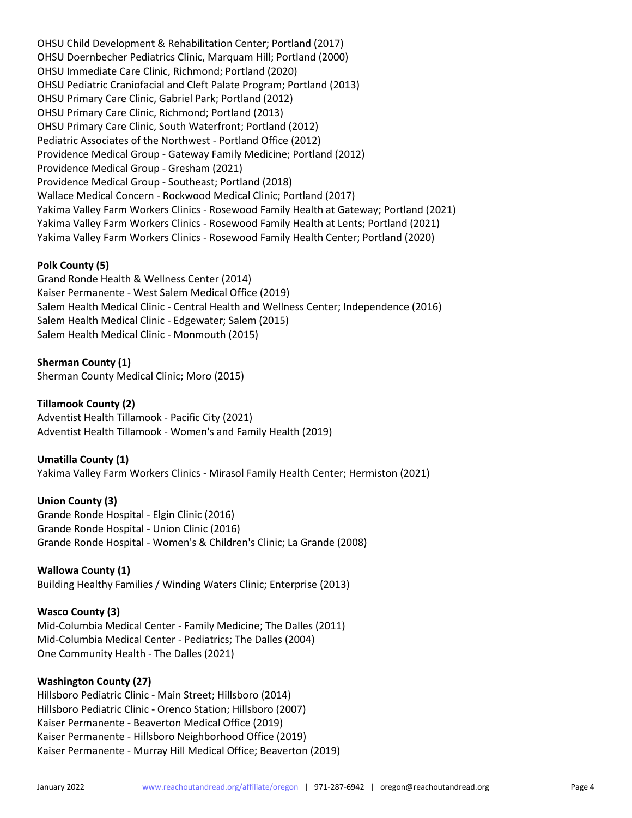OHSU Child Development & Rehabilitation Center; Portland (2017) OHSU Doernbecher Pediatrics Clinic, Marquam Hill; Portland (2000) OHSU Immediate Care Clinic, Richmond; Portland (2020) OHSU Pediatric Craniofacial and Cleft Palate Program; Portland (2013) OHSU Primary Care Clinic, Gabriel Park; Portland (2012) OHSU Primary Care Clinic, Richmond; Portland (2013) OHSU Primary Care Clinic, South Waterfront; Portland (2012) Pediatric Associates of the Northwest - Portland Office (2012) Providence Medical Group - Gateway Family Medicine; Portland (2012) Providence Medical Group - Gresham (2021) Providence Medical Group - Southeast; Portland (2018) Wallace Medical Concern - Rockwood Medical Clinic; Portland (2017) Yakima Valley Farm Workers Clinics - Rosewood Family Health at Gateway; Portland (2021) Yakima Valley Farm Workers Clinics - Rosewood Family Health at Lents; Portland (2021) Yakima Valley Farm Workers Clinics - Rosewood Family Health Center; Portland (2020)

### **Polk County (5)**

Grand Ronde Health & Wellness Center (2014) Kaiser Permanente - West Salem Medical Office (2019) Salem Health Medical Clinic - Central Health and Wellness Center; Independence (2016) Salem Health Medical Clinic - Edgewater; Salem (2015) Salem Health Medical Clinic - Monmouth (2015)

**Sherman County (1)** Sherman County Medical Clinic; Moro (2015)

#### **Tillamook County (2)**

Adventist Health Tillamook - Pacific City (2021) Adventist Health Tillamook - Women's and Family Health (2019)

### **Umatilla County (1)**

Yakima Valley Farm Workers Clinics - Mirasol Family Health Center; Hermiston (2021)

#### **Union County (3)**

Grande Ronde Hospital - Elgin Clinic (2016) Grande Ronde Hospital - Union Clinic (2016) Grande Ronde Hospital - Women's & Children's Clinic; La Grande (2008)

#### **Wallowa County (1)**

Building Healthy Families / Winding Waters Clinic; Enterprise (2013)

#### **Wasco County (3)**

Mid-Columbia Medical Center - Family Medicine; The Dalles (2011) Mid-Columbia Medical Center - Pediatrics; The Dalles (2004) One Community Health - The Dalles (2021)

#### **Washington County (27)**

Hillsboro Pediatric Clinic - Main Street; Hillsboro (2014) Hillsboro Pediatric Clinic - Orenco Station; Hillsboro (2007) Kaiser Permanente - Beaverton Medical Office (2019) Kaiser Permanente - Hillsboro Neighborhood Office (2019) Kaiser Permanente - Murray Hill Medical Office; Beaverton (2019)